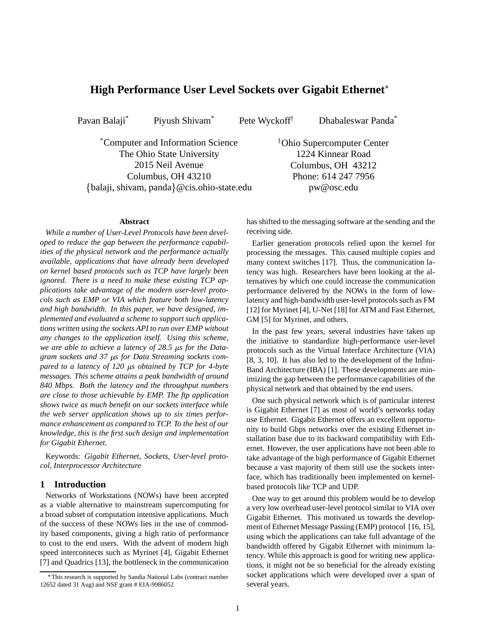# **High Performance User Level Sockets over Gigabit Ethernet**

Pavan Balaji\* Piyush Shivam\* Pete Wyckoff<sup>†</sup>

Dhabaleswar Panda\*

\*Computer and Information Science The Ohio State University 2015 Neil Avenue Columbus, OH 43210 - balaji, shivam, panda @cis.ohio-state.edu

#### **Abstract**

*While a number of User-Level Protocols have been developed to reduce the gap between the performance capabilities of the physical network and the performance actually available, applications that have already been developed on kernel based protocols such as TCP have largely been ignored. There is a need to make these existing TCP applications take advantage of the modern user-level protocols such as EMP or VIA which feature both low-latency and high bandwidth. In this paper, we have designed, implemented and evaluated a scheme to support such applications written using the sockets API to run over EMP without any changes to the application itself. Using this scheme, we are able to achieve a latency of 28.5 s for the Datagram sockets and 37 s for Data Streaming sockets compared to a latency of 120 s obtained by TCP for 4-byte messages. This scheme attains a peak bandwidth of around 840 Mbps. Both the latency and the throughput numbers are close to those achievable by EMP. The ftp application shows twice as much benefit on our sockets interface while the web server application shows up to six times performance enhancement as compared to TCP. To the best of our knowledge, this is the first such design and implementation for Gigabit Ethernet.*

Keywords: *Gigabit Ethernet, Sockets, User-level protocol, Interprocessor Architecture*

## **1 Introduction**

Networks of Workstations (NOWs) have been accepted as a viable alternative to mainstream supercomputing for a broad subset of computation intensive applications. Much of the success of these NOWs lies in the use of commodity based components, giving a high ratio of performance to cost to the end users. With the advent of modern high speed interconnects such as Myrinet [4], Gigabit Ethernet [7] and Quadrics [13], the bottleneck in the communication

 Ohio Supercomputer Center 1224 Kinnear Road Columbus, OH 43212 Phone: 614 247 7956 pw@osc.edu

has shifted to the messaging software at the sending and the receiving side.

Earlier generation protocols relied upon the kernel for processing the messages. This caused multiple copies and many context switches [17]. Thus, the communication latency was high. Researchers have been looking at the alternatives by which one could increase the communication performance delivered by the NOWs in the form of lowlatency and high-bandwidth user-level protocols such as FM [12] for Myrinet [4], U-Net [18] for ATM and Fast Ethernet, GM [5] for Myrinet, and others.

In the past few years, several industries have taken up the initiative to standardize high-performance user-level protocols such as the Virtual Interface Architecture (VIA) [8, 3, 10]. It has also led to the development of the Infini-Band Architecture (IBA) [1]. These developments are minimizing the gap between the performance capabilities of the physical network and that obtained by the end users.

One such physical network which is of particular interest is Gigabit Ethernet [7] as most of world's networks today use Ethernet. Gigabit Ethernet offers an excellent opportunity to build Gbps networks over the existing Ethernet installation base due to its backward compatibility with Ethernet. However, the user applications have not been able to take advantage of the high performance of Gigabit Ethernet because a vast majority of them still use the sockets interface, which has traditionally been implemented on kernelbased protocols like TCP and UDP.

One way to get around this problem would be to develop a very low overhead user-level protocol similar to VIA over Gigabit Ethernet. This motivated us towards the development of Ethernet Message Passing (EMP) protocol [16, 15], using which the applications can take full advantage of the bandwidth offered by Gigabit Ethernet with minimum latency. While this approach is good for writing new applications, it might not be so beneficial for the already existing socket applications which were developed over a span of several years.

This research is supported by Sandia National Labs (contract number 12652 dated 31 Aug) and NSF grant # EIA-9986052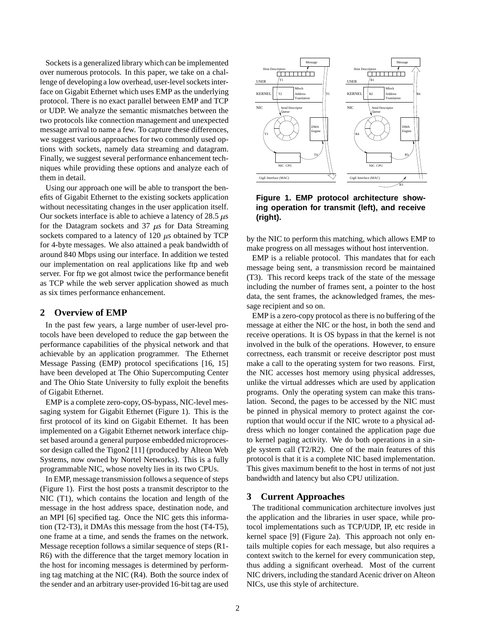Sockets is a generalized library which can be implemented over numerous protocols. In this paper, we take on a challenge of developing a low overhead, user-level sockets interface on Gigabit Ethernet which uses EMP as the underlying protocol. There is no exact parallel between EMP and TCP or UDP. We analyze the semantic mismatches between the two protocols like connection management and unexpected message arrival to name a few. To capture these differences, we suggest various approaches for two commonly used options with sockets, namely data streaming and datagram. Finally, we suggest several performance enhancement techniques while providing these options and analyze each of them in detail.

Using our approach one will be able to transport the benefits of Gigabit Ethernet to the existing sockets application without necessitating changes in the user application itself. Our sockets interface is able to achieve a latency of 28.5  $\mu$ s for the Datagram sockets and 37  $\mu$ s for Data Streaming sockets compared to a latency of  $120 \mu s$  obtained by TCP for 4-byte messages. We also attained a peak bandwidth of around 840 Mbps using our interface. In addition we tested our implementation on real applications like ftp and web server. For ftp we got almost twice the performance benefit as TCP while the web server application showed as much as six times performance enhancement.

## **2 Overview of EMP**

In the past few years, a large number of user-level protocols have been developed to reduce the gap between the performance capabilities of the physical network and that achievable by an application programmer. The Ethernet Message Passing (EMP) protocol specifications [16, 15] have been developed at The Ohio Supercomputing Center and The Ohio State University to fully exploit the benefits of Gigabit Ethernet.

EMP is a complete zero-copy, OS-bypass, NIC-level messaging system for Gigabit Ethernet (Figure 1). This is the first protocol of its kind on Gigabit Ethernet. It has been implemented on a Gigabit Ethernet network interface chipset based around a general purpose embedded microprocessor design called the Tigon2 [11] (produced by Alteon Web Systems, now owned by Nortel Networks). This is a fully programmable NIC, whose novelty lies in its two CPUs.

In EMP, message transmission follows a sequence of steps (Figure 1). First the host posts a transmit descriptor to the NIC (T1), which contains the location and length of the message in the host address space, destination node, and an MPI [6] specified tag. Once the NIC gets this information (T2-T3), it DMAs this message from the host (T4-T5), one frame at a time, and sends the frames on the network. Message reception follows a similar sequence of steps (R1- R6) with the difference that the target memory location in the host for incoming messages is determined by performing tag matching at the NIC (R4). Both the source index of the sender and an arbitrary user-provided 16-bit tag are used



**Figure 1. EMP protocol architecture showing operation for transmit (left), and receive (right).**

by the NIC to perform this matching, which allows EMP to make progress on all messages without host intervention.

EMP is a reliable protocol. This mandates that for each message being sent, a transmission record be maintained (T3). This record keeps track of the state of the message including the number of frames sent, a pointer to the host data, the sent frames, the acknowledged frames, the message recipient and so on.

EMP is a zero-copy protocol as there is no buffering of the message at either the NIC or the host, in both the send and receive operations. It is OS bypass in that the kernel is not involved in the bulk of the operations. However, to ensure correctness, each transmit or receive descriptor post must make a call to the operating system for two reasons. First, the NIC accesses host memory using physical addresses, unlike the virtual addresses which are used by application programs. Only the operating system can make this translation. Second, the pages to be accessed by the NIC must be pinned in physical memory to protect against the corruption that would occur if the NIC wrote to a physical address which no longer contained the application page due to kernel paging activity. We do both operations in a single system call (T2/R2). One of the main features of this protocol is that it is a complete NIC based implementation. This gives maximum benefit to the host in terms of not just bandwidth and latency but also CPU utilization.

## **3 Current Approaches**

The traditional communication architecture involves just the application and the libraries in user space, while protocol implementations such as TCP/UDP, IP, etc reside in kernel space [9] (Figure 2a). This approach not only entails multiple copies for each message, but also requires a context switch to the kernel for every communication step, thus adding a significant overhead. Most of the current NIC drivers, including the standard Acenic driver on Alteon NICs, use this style of architecture.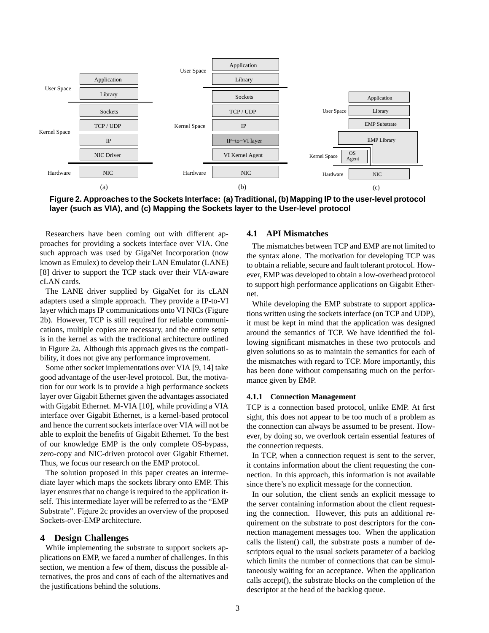

**Figure 2. Approaches to the Sockets Interface: (a) Traditional, (b) Mapping IP to the user-level protocol layer (such as VIA), and (c) Mapping the Sockets layer to the User-level protocol**

Researchers have been coming out with different approaches for providing a sockets interface over VIA. One such approach was used by GigaNet Incorporation (now known as Emulex) to develop their LAN Emulator (LANE) [8] driver to support the TCP stack over their VIA-aware cLAN cards.

The LANE driver supplied by GigaNet for its cLAN adapters used a simple approach. They provide a IP-to-VI layer which maps IP communications onto VI NICs (Figure 2b). However, TCP is still required for reliable communications, multiple copies are necessary, and the entire setup is in the kernel as with the traditional architecture outlined in Figure 2a. Although this approach gives us the compatibility, it does not give any performance improvement.

Some other socket implementations over VIA [9, 14] take good advantage of the user-level protocol. But, the motivation for our work is to provide a high performance sockets layer over Gigabit Ethernet given the advantages associated with Gigabit Ethernet. M-VIA [10], while providing a VIA interface over Gigabit Ethernet, is a kernel-based protocol and hence the current sockets interface over VIA will not be able to exploit the benefits of Gigabit Ethernet. To the best of our knowledge EMP is the only complete OS-bypass, zero-copy and NIC-driven protocol over Gigabit Ethernet. Thus, we focus our research on the EMP protocol.

The solution proposed in this paper creates an intermediate layer which maps the sockets library onto EMP. This layer ensures that no change is required to the application itself. This intermediate layer will be referred to as the "EMP Substrate". Figure 2c provides an overview of the proposed Sockets-over-EMP architecture.

## **4 Design Challenges**

While implementing the substrate to support sockets applications on EMP, we faced a number of challenges. In this section, we mention a few of them, discuss the possible alternatives, the pros and cons of each of the alternatives and the justifications behind the solutions.

#### **4.1 API Mismatches**

The mismatches between TCP and EMP are not limited to the syntax alone. The motivation for developing TCP was to obtain a reliable, secure and fault tolerant protocol. However, EMP was developed to obtain a low-overhead protocol to support high performance applications on Gigabit Ethernet.

While developing the EMP substrate to support applications written using the sockets interface (on TCP and UDP), it must be kept in mind that the application was designed around the semantics of TCP. We have identified the following significant mismatches in these two protocols and given solutions so as to maintain the semantics for each of the mismatches with regard to TCP. More importantly, this has been done without compensating much on the performance given by EMP.

#### **4.1.1 Connection Management**

TCP is a connection based protocol, unlike EMP. At first sight, this does not appear to be too much of a problem as the connection can always be assumed to be present. However, by doing so, we overlook certain essential features of the connection requests.

In TCP, when a connection request is sent to the server, it contains information about the client requesting the connection. In this approach, this information is not available since there's no explicit message for the connection.

In our solution, the client sends an explicit message to the server containing information about the client requesting the connection. However, this puts an additional requirement on the substrate to post descriptors for the connection management messages too. When the application calls the listen() call, the substrate posts a number of descriptors equal to the usual sockets parameter of a backlog which limits the number of connections that can be simultaneously waiting for an acceptance. When the application calls accept(), the substrate blocks on the completion of the descriptor at the head of the backlog queue.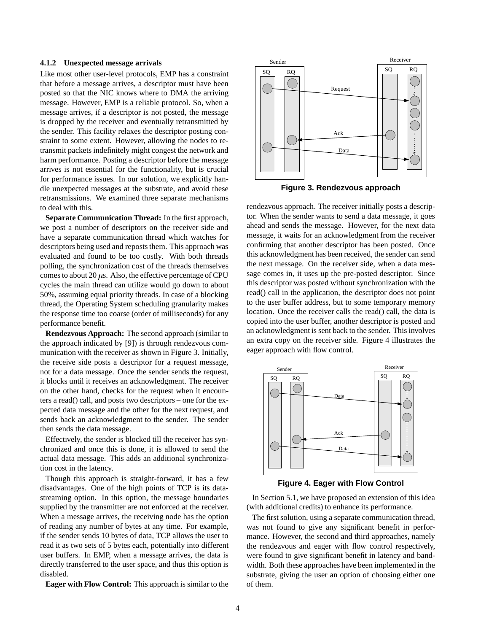#### **4.1.2 Unexpected message arrivals**

Like most other user-level protocols, EMP has a constraint that before a message arrives, a descriptor must have been posted so that the NIC knows where to DMA the arriving message. However, EMP is a reliable protocol. So, when a message arrives, if a descriptor is not posted, the message is dropped by the receiver and eventually retransmitted by the sender. This facility relaxes the descriptor posting constraint to some extent. However, allowing the nodes to retransmit packets indefinitely might congest the network and harm performance. Posting a descriptor before the message arrives is not essential for the functionality, but is crucial for performance issues. In our solution, we explicitly handle unexpected messages at the substrate, and avoid these retransmissions. We examined three separate mechanisms to deal with this.

**Separate Communication Thread:** In the first approach, we post a number of descriptors on the receiver side and have a separate communication thread which watches for descriptors being used and reposts them. This approach was evaluated and found to be too costly. With both threads polling, the synchronization cost of the threads themselves comes to about 20  $\mu$ s. Also, the effective percentage of CPU cycles the main thread can utilize would go down to about 50%, assuming equal priority threads. In case of a blocking thread, the Operating System scheduling granularity makes the response time too coarse (order of milliseconds) for any performance benefit.

**Rendezvous Approach:** The second approach (similar to the approach indicated by [9]) is through rendezvous communication with the receiver as shown in Figure 3. Initially, the receive side posts a descriptor for a request message, not for a data message. Once the sender sends the request, it blocks until it receives an acknowledgment. The receiver on the other hand, checks for the request when it encounters a read() call, and posts two descriptors – one for the expected data message and the other for the next request, and sends back an acknowledgment to the sender. The sender then sends the data message.

Effectively, the sender is blocked till the receiver has synchronized and once this is done, it is allowed to send the actual data message. This adds an additional synchronization cost in the latency.

Though this approach is straight-forward, it has a few disadvantages. One of the high points of TCP is its datastreaming option. In this option, the message boundaries supplied by the transmitter are not enforced at the receiver. When a message arrives, the receiving node has the option of reading any number of bytes at any time. For example, if the sender sends 10 bytes of data, TCP allows the user to read it as two sets of 5 bytes each, potentially into different user buffers. In EMP, when a message arrives, the data is directly transferred to the user space, and thus this option is disabled.

**Eager with Flow Control:** This approach is similar to the



**Figure 3. Rendezvous approach**

rendezvous approach. The receiver initially posts a descriptor. When the sender wants to send a data message, it goes ahead and sends the message. However, for the next data message, it waits for an acknowledgment from the receiver confirming that another descriptor has been posted. Once this acknowledgment has been received, the sender can send the next message. On the receiver side, when a data message comes in, it uses up the pre-posted descriptor. Since this descriptor was posted without synchronization with the read() call in the application, the descriptor does not point to the user buffer address, but to some temporary memory location. Once the receiver calls the read() call, the data is copied into the user buffer, another descriptor is posted and an acknowledgment is sent back to the sender. This involves an extra copy on the receiver side. Figure 4 illustrates the eager approach with flow control.



**Figure 4. Eager with Flow Control**

In Section 5.1, we have proposed an extension of this idea (with additional credits) to enhance its performance.

The first solution, using a separate communication thread, was not found to give any significant benefit in performance. However, the second and third approaches, namely the rendezvous and eager with flow control respectively, were found to give significant benefit in latency and bandwidth. Both these approaches have been implemented in the substrate, giving the user an option of choosing either one of them.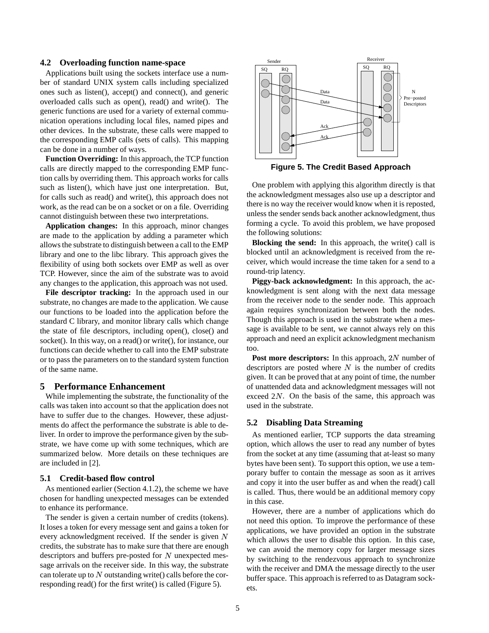#### **4.2 Overloading function name-space**

Applications built using the sockets interface use a number of standard UNIX system calls including specialized ones such as listen(), accept() and connect(), and generic overloaded calls such as open(), read() and write(). The generic functions are used for a variety of external communication operations including local files, named pipes and other devices. In the substrate, these calls were mapped to the corresponding EMP calls (sets of calls). This mapping can be done in a number of ways.

**Function Overriding:** In this approach, the TCP function calls are directly mapped to the corresponding EMP function calls by overriding them. This approach works for calls such as listen(), which have just one interpretation. But, for calls such as read() and write(), this approach does not work, as the read can be on a socket or on a file. Overriding cannot distinguish between these two interpretations.

**Application changes:** In this approach, minor changes are made to the application by adding a parameter which allowsthe substrate to distinguish between a call to the EMP library and one to the libc library. This approach gives the flexibility of using both sockets over EMP as well as over TCP. However, since the aim of the substrate was to avoid any changes to the application, this approach was not used.

**File descriptor tracking:** In the approach used in our substrate, no changes are made to the application. We cause our functions to be loaded into the application before the standard C library, and monitor library calls which change the state of file descriptors, including open(), close() and socket(). In this way, on a read() or write(), for instance, our functions can decide whether to call into the EMP substrate or to pass the parameters on to the standard system function of the same name.

### **5 Performance Enhancement**

While implementing the substrate, the functionality of the calls was taken into account so that the application does not have to suffer due to the changes. However, these adjustments do affect the performance the substrate is able to deliver. In order to improve the performance given by the substrate, we have come up with some techniques, which are summarized below. More details on these techniques are are included in [2].

#### **5.1 Credit-based flow control**

As mentioned earlier (Section 4.1.2), the scheme we have chosen for handling unexpected messages can be extended to enhance its performance.

The sender is given a certain number of credits (tokens). It loses a token for every message sent and gains a token for every acknowledgment received. If the sender is given  $N$ credits, the substrate has to make sure that there are enough descriptors and buffers pre-posted for  $N$  unexpected message arrivals on the receiver side. In this way, the substrate can tolerate up to  $N$  outstanding write() calls before the corresponding read() for the first write() is called (Figure 5).



**Figure 5. The Credit Based Approach**

One problem with applying this algorithm directly is that the acknowledgment messages also use up a descriptor and there is no way the receiver would know when it is reposted, unless the sender sends back another acknowledgment, thus forming a cycle. To avoid this problem, we have proposed the following solutions:

**Blocking the send:** In this approach, the write() call is blocked until an acknowledgment is received from the receiver, which would increase the time taken for a send to a round-trip latency.

**Piggy-back acknowledgment:** In this approach, the acknowledgment is sent along with the next data message from the receiver node to the sender node. This approach again requires synchronization between both the nodes. Though this approach is used in the substrate when a message is available to be sent, we cannot always rely on this approach and need an explicit acknowledgment mechanism too.

**Post more descriptors:** In this approach, 2N number of descriptors are posted where  $N$  is the number of credits given. It can be proved that at any point of time, the number of unattended data and acknowledgment messages will not exceed  $2N$ . On the basis of the same, this approach was used in the substrate.

#### **5.2 Disabling Data Streaming**

As mentioned earlier, TCP supports the data streaming option, which allows the user to read any number of bytes from the socket at any time (assuming that at-least so many bytes have been sent). To support this option, we use a temporary buffer to contain the message as soon as it arrives and copy it into the user buffer as and when the read() call is called. Thus, there would be an additional memory copy in this case.

However, there are a number of applications which do not need this option. To improve the performance of these applications, we have provided an option in the substrate which allows the user to disable this option. In this case, we can avoid the memory copy for larger message sizes by switching to the rendezvous approach to synchronize with the receiver and DMA the message directly to the user buffer space. This approach is referred to as Datagram sockets.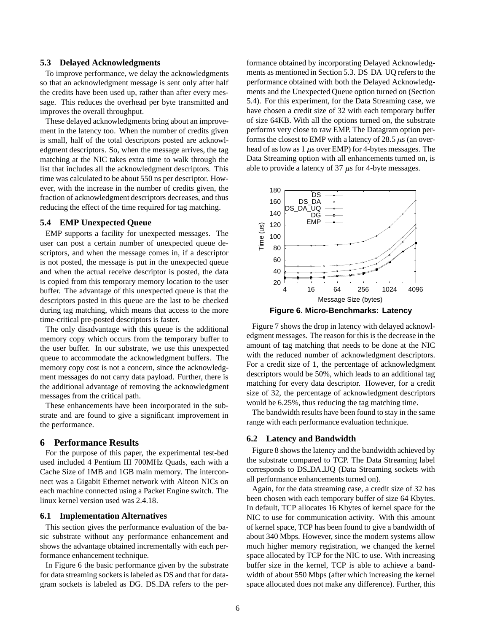#### **5.3 Delayed Acknowledgments**

To improve performance, we delay the acknowledgments so that an acknowledgment message is sent only after half the credits have been used up, rather than after every message. This reduces the overhead per byte transmitted and improves the overall throughput.

These delayed acknowledgments bring about an improvement in the latency too. When the number of credits given is small, half of the total descriptors posted are acknowledgment descriptors. So, when the message arrives, the tag matching at the NIC takes extra time to walk through the list that includes all the acknowledgment descriptors. This time was calculated to be about 550 ns per descriptor. However, with the increase in the number of credits given, the fraction of acknowledgment descriptors decreases, and thus reducing the effect of the time required for tag matching.

#### **5.4 EMP Unexpected Queue**

EMP supports a facility for unexpected messages. The user can post a certain number of unexpected queue descriptors, and when the message comes in, if a descriptor is not posted, the message is put in the unexpected queue and when the actual receive descriptor is posted, the data is copied from this temporary memory location to the user buffer. The advantage of this unexpected queue is that the descriptors posted in this queue are the last to be checked during tag matching, which means that access to the more time-critical pre-posted descriptors is faster.

The only disadvantage with this queue is the additional memory copy which occurs from the temporary buffer to the user buffer. In our substrate, we use this unexpected queue to accommodate the acknowledgment buffers. The memory copy cost is not a concern, since the acknowledgment messages do not carry data payload. Further, there is the additional advantage of removing the acknowledgment messages from the critical path.

These enhancements have been incorporated in the substrate and are found to give a significant improvement in the performance.

### **6 Performance Results**

For the purpose of this paper, the experimental test-bed used included 4 Pentium III 700MHz Quads, each with a Cache Size of 1MB and 1GB main memory. The interconnect was a Gigabit Ethernet network with Alteon NICs on each machine connected using a Packet Engine switch. The linux kernel version used was 2.4.18.

#### **6.1 Implementation Alternatives**

This section gives the performance evaluation of the basic substrate without any performance enhancement and shows the advantage obtained incrementally with each performance enhancement technique.

In Figure 6 the basic performance given by the substrate for data streaming sockets is labeled as DS and that for datagram sockets is labeled as DG. DS DA refers to the performance obtained by incorporating Delayed Acknowledgments as mentioned in Section 5.3. DS DA UQ refersto the performance obtained with both the Delayed Acknowledgments and the Unexpected Queue option turned on (Section 5.4). For this experiment, for the Data Streaming case, we have chosen a credit size of 32 with each temporary buffer of size 64KB. With all the options turned on, the substrate performs very close to raw EMP. The Datagram option performs the closest to EMP with a latency of 28.5  $\mu$ s (an overhead of as low as  $1 \mu s$  over EMP) for 4-bytes messages. The Data Streaming option with all enhancements turned on, is able to provide a latency of 37  $\mu$ s for 4-byte messages.



Figure 7 shows the drop in latency with delayed acknowledgment messages. The reason for this is the decrease in the amount of tag matching that needs to be done at the NIC with the reduced number of acknowledgment descriptors. For a credit size of 1, the percentage of acknowledgment descriptors would be 50%, which leads to an additional tag matching for every data descriptor. However, for a credit size of 32, the percentage of acknowledgment descriptors would be 6.25%, thus reducing the tag matching time.

The bandwidth results have been found to stay in the same range with each performance evaluation technique.

#### **6.2 Latency and Bandwidth**

Figure 8 shows the latency and the bandwidth achieved by the substrate compared to TCP. The Data Streaming label corresponds to DS DA UQ (Data Streaming sockets with all performance enhancements turned on).

Again, for the data streaming case, a credit size of 32 has been chosen with each temporary buffer of size 64 Kbytes. In default, TCP allocates 16 Kbytes of kernel space for the NIC to use for communication activity. With this amount of kernel space, TCP has been found to give a bandwidth of about 340 Mbps. However, since the modern systems allow much higher memory registration, we changed the kernel space allocated by TCP for the NIC to use. With increasing buffer size in the kernel, TCP is able to achieve a bandwidth of about 550 Mbps (after which increasing the kernel space allocated does not make any difference). Further, this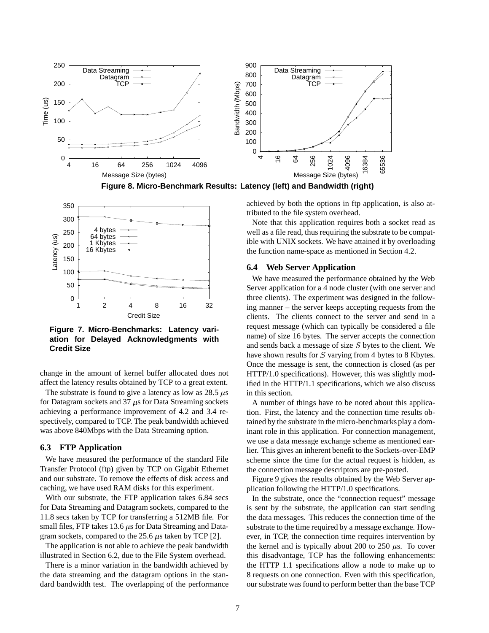

**Figure 8. Micro-Benchmark Results: Latency (left) and Bandwidth (right)**



**Figure 7. Micro-Benchmarks: Latency variation for Delayed Acknowledgments with Credit Size**

change in the amount of kernel buffer allocated does not affect the latency results obtained by TCP to a great extent.

The substrate is found to give a latency as low as  $28.5 \mu s$ for Datagram sockets and  $37 \mu s$  for Data Streaming sockets achieving a performance improvement of 4.2 and 3.4 respectively, compared to TCP. The peak bandwidth achieved was above 840Mbps with the Data Streaming option.

## **6.3 FTP Application**

We have measured the performance of the standard File Transfer Protocol (ftp) given by TCP on Gigabit Ethernet and our substrate. To remove the effects of disk access and caching, we have used RAM disks for this experiment.

With our substrate, the FTP application takes 6.84 secs for Data Streaming and Datagram sockets, compared to the 11.8 secs taken by TCP for transferring a 512MB file. For small files, FTP takes 13.6  $\mu$ s for Data Streaming and Datagram sockets, compared to the 25.6  $\mu$ s taken by TCP [2].

The application is not able to achieve the peak bandwidth illustrated in Section 6.2, due to the File System overhead.

There is a minor variation in the bandwidth achieved by the data streaming and the datagram options in the standard bandwidth test. The overlapping of the performance achieved by both the options in ftp application, is also attributed to the file system overhead.

Note that this application requires both a socket read as well as a file read, thus requiring the substrate to be compatible with UNIX sockets. We have attained it by overloading the function name-space as mentioned in Section 4.2.

#### **6.4 Web Server Application**

We have measured the performance obtained by the Web Server application for a 4 node cluster (with one server and three clients). The experiment was designed in the following manner – the server keeps accepting requests from the clients. The clients connect to the server and send in a request message (which can typically be considered a file name) of size 16 bytes. The server accepts the connection and sends back a message of size  $S$  bytes to the client. We have shown results for  $S$  varying from 4 bytes to 8 Kbytes. Once the message is sent, the connection is closed (as per HTTP/1.0 specifications). However, this was slightly modified in the HTTP/1.1 specifications, which we also discuss in this section.

A number of things have to be noted about this application. First, the latency and the connection time results obtained by the substrate in the micro-benchmarks play a dominant role in this application. For connection management, we use a data message exchange scheme as mentioned earlier. This gives an inherent benefit to the Sockets-over-EMP scheme since the time for the actual request is hidden, as the connection message descriptors are pre-posted.

Figure 9 gives the results obtained by the Web Server application following the HTTP/1.0 specifications.

In the substrate, once the "connection request" message is sent by the substrate, the application can start sending the data messages. This reduces the connection time of the substrate to the time required by a message exchange. However, in TCP, the connection time requires intervention by the kernel and is typically about 200 to 250  $\mu$ s. To cover this disadvantage, TCP has the following enhancements: the HTTP 1.1 specifications allow a node to make up to 8 requests on one connection. Even with this specification, our substrate was found to perform better than the base TCP